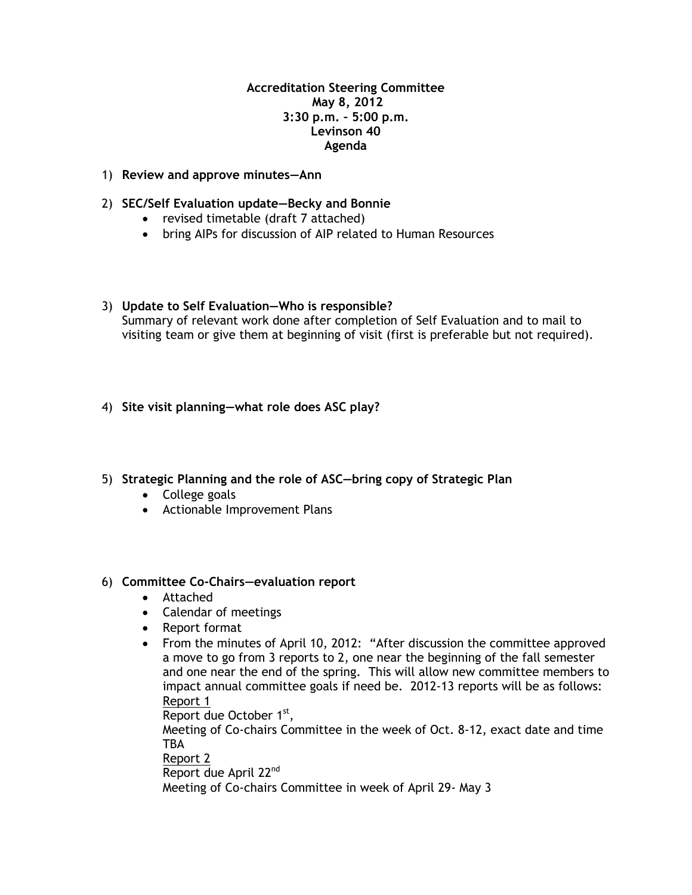## **Accreditation Steering Committee May 8, 2012 3:30 p.m. – 5:00 p.m. Levinson 40 Agenda**

- 1) **Review and approve minutes—Ann**
- 2) **SEC/Self Evaluation update—Becky and Bonnie**
	- revised timetable (draft 7 attached)
	- bring AIPs for discussion of AIP related to Human Resources
- 3) **Update to Self Evaluation—Who is responsible?** Summary of relevant work done after completion of Self Evaluation and to mail to visiting team or give them at beginning of visit (first is preferable but not required).
- 4) **Site visit planning—what role does ASC play?**
- 5) **Strategic Planning and the role of ASC—bring copy of Strategic Plan**
	- College goals
	- Actionable Improvement Plans

## 6) **Committee Co-Chairs—evaluation report**

- Attached
- Calendar of meetings
- Report format
- From the minutes of April 10, 2012: "After discussion the committee approved a move to go from 3 reports to 2, one near the beginning of the fall semester and one near the end of the spring. This will allow new committee members to impact annual committee goals if need be. 2012-13 reports will be as follows: Report 1

Report due October 1<sup>st</sup>,

Meeting of Co-chairs Committee in the week of Oct. 8-12, exact date and time TBA

Report 2

Report due April 22<sup>nd</sup>

Meeting of Co-chairs Committee in week of April 29- May 3